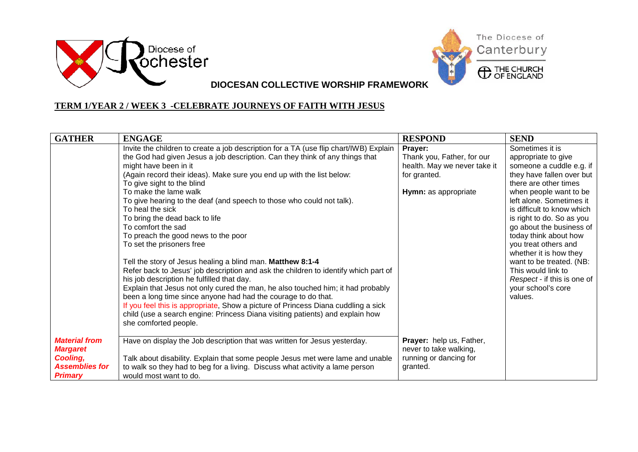



#### **TERM 1/YEAR 2 / WEEK 3 -CELEBRATE JOURNEYS OF FAITH WITH JESUS**

| <b>GATHER</b>                                                                                  | <b>ENGAGE</b>                                                                                                                                                                                                                                                                                                                                                                                                                                                                                                                                                                                                                                                                                                                                                                                                                                                                                                                                                                                                                                                                                                 | <b>RESPOND</b>                                                                                                | <b>SEND</b>                                                                                                                                                                                                                                                                                                                                                                                                                                                        |
|------------------------------------------------------------------------------------------------|---------------------------------------------------------------------------------------------------------------------------------------------------------------------------------------------------------------------------------------------------------------------------------------------------------------------------------------------------------------------------------------------------------------------------------------------------------------------------------------------------------------------------------------------------------------------------------------------------------------------------------------------------------------------------------------------------------------------------------------------------------------------------------------------------------------------------------------------------------------------------------------------------------------------------------------------------------------------------------------------------------------------------------------------------------------------------------------------------------------|---------------------------------------------------------------------------------------------------------------|--------------------------------------------------------------------------------------------------------------------------------------------------------------------------------------------------------------------------------------------------------------------------------------------------------------------------------------------------------------------------------------------------------------------------------------------------------------------|
|                                                                                                | Invite the children to create a job description for a TA (use flip chart/IWB) Explain<br>the God had given Jesus a job description. Can they think of any things that<br>might have been in it<br>(Again record their ideas). Make sure you end up with the list below:<br>To give sight to the blind<br>To make the lame walk<br>To give hearing to the deaf (and speech to those who could not talk).<br>To heal the sick<br>To bring the dead back to life<br>To comfort the sad<br>To preach the good news to the poor<br>To set the prisoners free<br>Tell the story of Jesus healing a blind man. Matthew 8:1-4<br>Refer back to Jesus' job description and ask the children to identify which part of<br>his job description he fulfilled that day.<br>Explain that Jesus not only cured the man, he also touched him; it had probably<br>been a long time since anyone had had the courage to do that.<br>If you feel this is appropriate, Show a picture of Princess Diana cuddling a sick<br>child (use a search engine: Princess Diana visiting patients) and explain how<br>she comforted people. | Prayer:<br>Thank you, Father, for our<br>health. May we never take it<br>for granted.<br>Hymn: as appropriate | Sometimes it is<br>appropriate to give<br>someone a cuddle e.g. if<br>they have fallen over but<br>there are other times<br>when people want to be<br>left alone. Sometimes it<br>is difficult to know which<br>is right to do. So as you<br>go about the business of<br>today think about how<br>you treat others and<br>whether it is how they<br>want to be treated. (NB:<br>This would link to<br>Respect - if this is one of<br>your school's core<br>values. |
| <b>Material from</b><br><b>Margaret</b><br>Cooling,<br><b>Assemblies for</b><br><b>Primary</b> | Have on display the Job description that was written for Jesus yesterday.<br>Talk about disability. Explain that some people Jesus met were lame and unable<br>to walk so they had to beg for a living. Discuss what activity a lame person<br>would most want to do.                                                                                                                                                                                                                                                                                                                                                                                                                                                                                                                                                                                                                                                                                                                                                                                                                                         | Prayer: help us, Father,<br>never to take walking,<br>running or dancing for<br>granted.                      |                                                                                                                                                                                                                                                                                                                                                                                                                                                                    |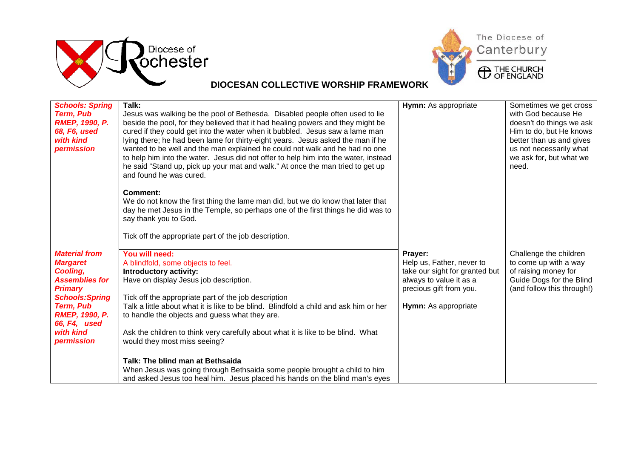



| <b>Schools: Spring</b><br><b>Term, Pub</b><br>RMEP, 1990, P.<br>68, F6, used<br>with kind<br>permission                                                                                                          | Talk:<br>Jesus was walking be the pool of Bethesda. Disabled people often used to lie<br>beside the pool, for they believed that it had healing powers and they might be<br>cured if they could get into the water when it bubbled. Jesus saw a lame man<br>lying there; he had been lame for thirty-eight years. Jesus asked the man if he<br>wanted to be well and the man explained he could not walk and he had no one<br>to help him into the water. Jesus did not offer to help him into the water, instead                                                                                                                                | Hymn: As appropriate                                                                                                                                 | Sometimes we get cross<br>with God because He<br>doesn't do things we ask<br>Him to do, but He knows<br>better than us and gives<br>us not necessarily what<br>we ask for, but what we |
|------------------------------------------------------------------------------------------------------------------------------------------------------------------------------------------------------------------|--------------------------------------------------------------------------------------------------------------------------------------------------------------------------------------------------------------------------------------------------------------------------------------------------------------------------------------------------------------------------------------------------------------------------------------------------------------------------------------------------------------------------------------------------------------------------------------------------------------------------------------------------|------------------------------------------------------------------------------------------------------------------------------------------------------|----------------------------------------------------------------------------------------------------------------------------------------------------------------------------------------|
|                                                                                                                                                                                                                  | he said "Stand up, pick up your mat and walk." At once the man tried to get up<br>and found he was cured.<br>Comment:<br>We do not know the first thing the lame man did, but we do know that later that<br>day he met Jesus in the Temple, so perhaps one of the first things he did was to<br>say thank you to God.<br>Tick off the appropriate part of the job description.                                                                                                                                                                                                                                                                   |                                                                                                                                                      | need.                                                                                                                                                                                  |
| <b>Material from</b><br><b>Margaret</b><br>Cooling,<br><b>Assemblies for</b><br><b>Primary</b><br><b>Schools: Spring</b><br><b>Term, Pub</b><br><b>RMEP, 1990, P.</b><br>66, F4, used<br>with kind<br>permission | You will need:<br>A blindfold, some objects to feel.<br>Introductory activity:<br>Have on display Jesus job description.<br>Tick off the appropriate part of the job description<br>Talk a little about what it is like to be blind. Blindfold a child and ask him or her<br>to handle the objects and guess what they are.<br>Ask the children to think very carefully about what it is like to be blind. What<br>would they most miss seeing?<br>Talk: The blind man at Bethsaida<br>When Jesus was going through Bethsaida some people brought a child to him<br>and asked Jesus too heal him. Jesus placed his hands on the blind man's eyes | Prayer:<br>Help us, Father, never to<br>take our sight for granted but<br>always to value it as a<br>precious gift from you.<br>Hymn: As appropriate | Challenge the children<br>to come up with a way<br>of raising money for<br>Guide Dogs for the Blind<br>(and follow this through!)                                                      |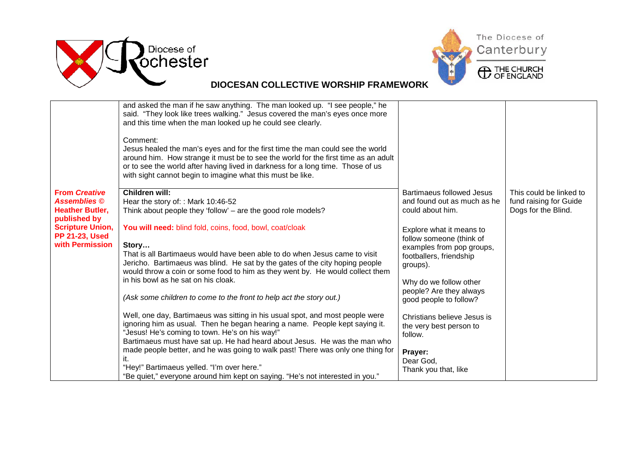



|                                                                                                                                                              | and asked the man if he saw anything. The man looked up. "I see people," he<br>said. "They look like trees walking." Jesus covered the man's eyes once more<br>and this time when the man looked up he could see clearly.<br>Comment:<br>Jesus healed the man's eyes and for the first time the man could see the world<br>around him. How strange it must be to see the world for the first time as an adult<br>or to see the world after having lived in darkness for a long time. Those of us<br>with sight cannot begin to imagine what this must be like.                                                                                                                                                                                                                                                                                                                                                                                                                                                                                                                |                                                                                                                                                                                                                                                                                                                                                                                                                     |                                                                          |
|--------------------------------------------------------------------------------------------------------------------------------------------------------------|-------------------------------------------------------------------------------------------------------------------------------------------------------------------------------------------------------------------------------------------------------------------------------------------------------------------------------------------------------------------------------------------------------------------------------------------------------------------------------------------------------------------------------------------------------------------------------------------------------------------------------------------------------------------------------------------------------------------------------------------------------------------------------------------------------------------------------------------------------------------------------------------------------------------------------------------------------------------------------------------------------------------------------------------------------------------------------|---------------------------------------------------------------------------------------------------------------------------------------------------------------------------------------------------------------------------------------------------------------------------------------------------------------------------------------------------------------------------------------------------------------------|--------------------------------------------------------------------------|
| <b>From Creative</b><br><b>Assemblies</b> ©<br><b>Heather Butler,</b><br>published by<br><b>Scripture Union,</b><br><b>PP 21-23, Used</b><br>with Permission | Children will:<br>Hear the story of:: Mark 10:46-52<br>Think about people they 'follow' – are the good role models?<br>You will need: blind fold, coins, food, bowl, coat/cloak<br>Story<br>That is all Bartimaeus would have been able to do when Jesus came to visit<br>Jericho. Bartimaeus was blind. He sat by the gates of the city hoping people<br>would throw a coin or some food to him as they went by. He would collect them<br>in his bowl as he sat on his cloak.<br>(Ask some children to come to the front to help act the story out.)<br>Well, one day, Bartimaeus was sitting in his usual spot, and most people were<br>ignoring him as usual. Then he began hearing a name. People kept saying it.<br>"Jesus! He's coming to town. He's on his way!"<br>Bartimaeus must have sat up. He had heard about Jesus. He was the man who<br>made people better, and he was going to walk past! There was only one thing for<br>it.<br>"Hey!" Bartimaeus yelled. "I'm over here."<br>"Be quiet," everyone around him kept on saying. "He's not interested in you." | <b>Bartimaeus followed Jesus</b><br>and found out as much as he<br>could about him.<br>Explore what it means to<br>follow someone (think of<br>examples from pop groups,<br>footballers, friendship<br>groups).<br>Why do we follow other<br>people? Are they always<br>good people to follow?<br>Christians believe Jesus is<br>the very best person to<br>follow.<br>Prayer:<br>Dear God,<br>Thank you that, like | This could be linked to<br>fund raising for Guide<br>Dogs for the Blind. |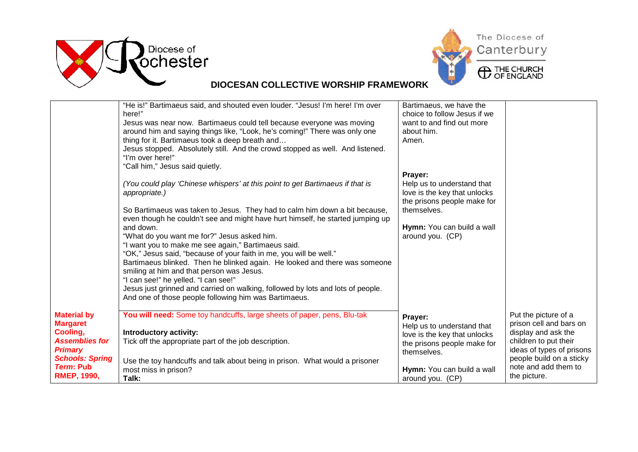



|                                                                                                                                            | "He is!" Bartimaeus said, and shouted even louder. "Jesus! I'm here! I'm over<br>here!"<br>Jesus was near now. Bartimaeus could tell because everyone was moving<br>around him and saying things like, "Look, he's coming!" There was only one<br>thing for it. Bartimaeus took a deep breath and<br>Jesus stopped. Absolutely still. And the crowd stopped as well. And listened.<br>"I'm over here!"                                                                                                              | Bartimaeus, we have the<br>choice to follow Jesus if we<br>want to and find out more<br>about him.<br>Amen.                                                           |                                                                                                                                                                                                  |
|--------------------------------------------------------------------------------------------------------------------------------------------|---------------------------------------------------------------------------------------------------------------------------------------------------------------------------------------------------------------------------------------------------------------------------------------------------------------------------------------------------------------------------------------------------------------------------------------------------------------------------------------------------------------------|-----------------------------------------------------------------------------------------------------------------------------------------------------------------------|--------------------------------------------------------------------------------------------------------------------------------------------------------------------------------------------------|
|                                                                                                                                            | "Call him," Jesus said quietly.<br>(You could play 'Chinese whispers' at this point to get Bartimaeus if that is<br>appropriate.)<br>So Bartimaeus was taken to Jesus. They had to calm him down a bit because,<br>even though he couldn't see and might have hurt himself, he started jumping up<br>and down.<br>"What do you want me for?" Jesus asked him.                                                                                                                                                       | Prayer:<br>Help us to understand that<br>love is the key that unlocks<br>the prisons people make for<br>themselves.<br>Hymn: You can build a wall<br>around you. (CP) |                                                                                                                                                                                                  |
| <b>Material by</b>                                                                                                                         | "I want you to make me see again," Bartimaeus said.<br>"OK," Jesus said, "because of your faith in me, you will be well."<br>Bartimaeus blinked. Then he blinked again. He looked and there was someone<br>smiling at him and that person was Jesus.<br>"I can see!" he yelled. "I can see!"<br>Jesus just grinned and carried on walking, followed by lots and lots of people.<br>And one of those people following him was Bartimaeus.<br>You will need: Some toy handcuffs, large sheets of paper, pens, Blu-tak |                                                                                                                                                                       |                                                                                                                                                                                                  |
| <b>Margaret</b><br>Cooling,<br><b>Assemblies for</b><br><b>Primary</b><br><b>Schools: Spring</b><br><b>Term: Pub</b><br><b>RMEP, 1990,</b> | Introductory activity:<br>Tick off the appropriate part of the job description.<br>Use the toy handcuffs and talk about being in prison. What would a prisoner<br>most miss in prison?<br>Talk:                                                                                                                                                                                                                                                                                                                     | Prayer:<br>Help us to understand that<br>love is the key that unlocks<br>the prisons people make for<br>themselves.<br>Hymn: You can build a wall<br>around you. (CP) | Put the picture of a<br>prison cell and bars on<br>display and ask the<br>children to put their<br>ideas of types of prisons<br>people build on a sticky<br>note and add them to<br>the picture. |